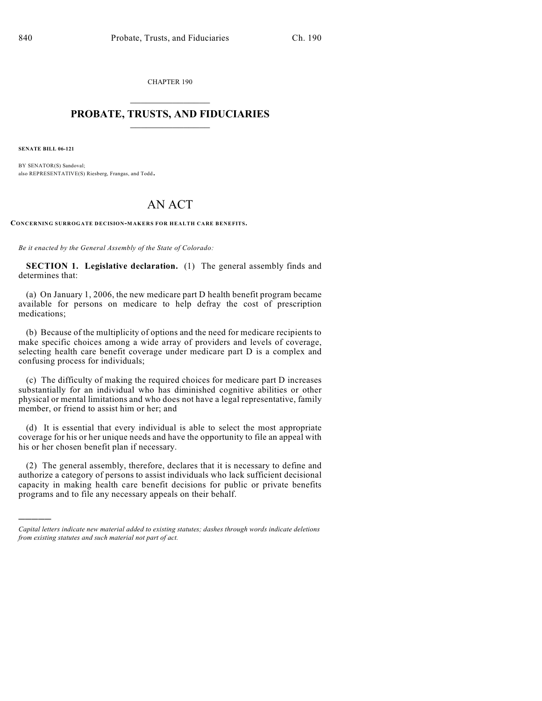CHAPTER 190  $\mathcal{L}_\text{max}$  . The set of the set of the set of the set of the set of the set of the set of the set of the set of the set of the set of the set of the set of the set of the set of the set of the set of the set of the set

## **PROBATE, TRUSTS, AND FIDUCIARIES**  $\overline{\phantom{a}}$

**SENATE BILL 06-121**

)))))

BY SENATOR(S) Sandoval; also REPRESENTATIVE(S) Riesberg, Frangas, and Todd.

## AN ACT

**CONCERNING SURROGATE DECISION-MAKERS FOR HEALTH CARE BENEFITS.**

*Be it enacted by the General Assembly of the State of Colorado:*

**SECTION 1. Legislative declaration.** (1) The general assembly finds and determines that:

(a) On January 1, 2006, the new medicare part D health benefit program became available for persons on medicare to help defray the cost of prescription medications;

(b) Because of the multiplicity of options and the need for medicare recipients to make specific choices among a wide array of providers and levels of coverage, selecting health care benefit coverage under medicare part D is a complex and confusing process for individuals;

(c) The difficulty of making the required choices for medicare part D increases substantially for an individual who has diminished cognitive abilities or other physical or mental limitations and who does not have a legal representative, family member, or friend to assist him or her; and

(d) It is essential that every individual is able to select the most appropriate coverage for his or her unique needs and have the opportunity to file an appeal with his or her chosen benefit plan if necessary.

(2) The general assembly, therefore, declares that it is necessary to define and authorize a category of persons to assist individuals who lack sufficient decisional capacity in making health care benefit decisions for public or private benefits programs and to file any necessary appeals on their behalf.

*Capital letters indicate new material added to existing statutes; dashes through words indicate deletions from existing statutes and such material not part of act.*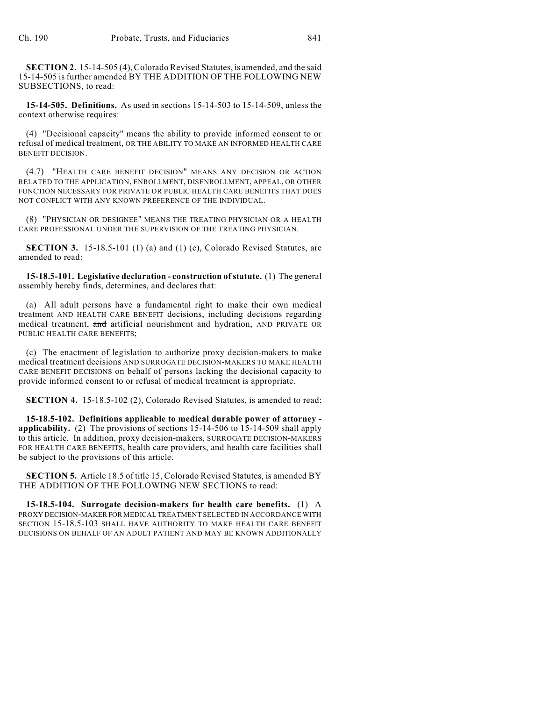**SECTION 2.** 15-14-505 (4), Colorado Revised Statutes, is amended, and the said 15-14-505 is further amended BY THE ADDITION OF THE FOLLOWING NEW SUBSECTIONS, to read:

**15-14-505. Definitions.** As used in sections 15-14-503 to 15-14-509, unless the context otherwise requires:

(4) "Decisional capacity" means the ability to provide informed consent to or refusal of medical treatment, OR THE ABILITY TO MAKE AN INFORMED HEALTH CARE BENEFIT DECISION.

(4.7) "HEALTH CARE BENEFIT DECISION" MEANS ANY DECISION OR ACTION RELATED TO THE APPLICATION, ENROLLMENT, DISENROLLMENT, APPEAL, OR OTHER FUNCTION NECESSARY FOR PRIVATE OR PUBLIC HEALTH CARE BENEFITS THAT DOES NOT CONFLICT WITH ANY KNOWN PREFERENCE OF THE INDIVIDUAL.

(8) "PHYSICIAN OR DESIGNEE" MEANS THE TREATING PHYSICIAN OR A HEALTH CARE PROFESSIONAL UNDER THE SUPERVISION OF THE TREATING PHYSICIAN.

**SECTION 3.** 15-18.5-101 (1) (a) and (1) (c), Colorado Revised Statutes, are amended to read:

**15-18.5-101. Legislative declaration - construction of statute.** (1) The general assembly hereby finds, determines, and declares that:

(a) All adult persons have a fundamental right to make their own medical treatment AND HEALTH CARE BENEFIT decisions, including decisions regarding medical treatment, and artificial nourishment and hydration, AND PRIVATE OR PUBLIC HEALTH CARE BENEFITS;

(c) The enactment of legislation to authorize proxy decision-makers to make medical treatment decisions AND SURROGATE DECISION-MAKERS TO MAKE HEALTH CARE BENEFIT DECISIONS on behalf of persons lacking the decisional capacity to provide informed consent to or refusal of medical treatment is appropriate.

**SECTION 4.** 15-18.5-102 (2), Colorado Revised Statutes, is amended to read:

**15-18.5-102. Definitions applicable to medical durable power of attorney applicability.** (2) The provisions of sections 15-14-506 to 15-14-509 shall apply to this article. In addition, proxy decision-makers, SURROGATE DECISION-MAKERS FOR HEALTH CARE BENEFITS, health care providers, and health care facilities shall be subject to the provisions of this article.

**SECTION 5.** Article 18.5 of title 15, Colorado Revised Statutes, is amended BY THE ADDITION OF THE FOLLOWING NEW SECTIONS to read:

**15-18.5-104. Surrogate decision-makers for health care benefits.** (1) A PROXY DECISION-MAKER FOR MEDICAL TREATMENT SELECTED IN ACCORDANCE WITH SECTION 15-18.5-103 SHALL HAVE AUTHORITY TO MAKE HEALTH CARE BENEFIT DECISIONS ON BEHALF OF AN ADULT PATIENT AND MAY BE KNOWN ADDITIONALLY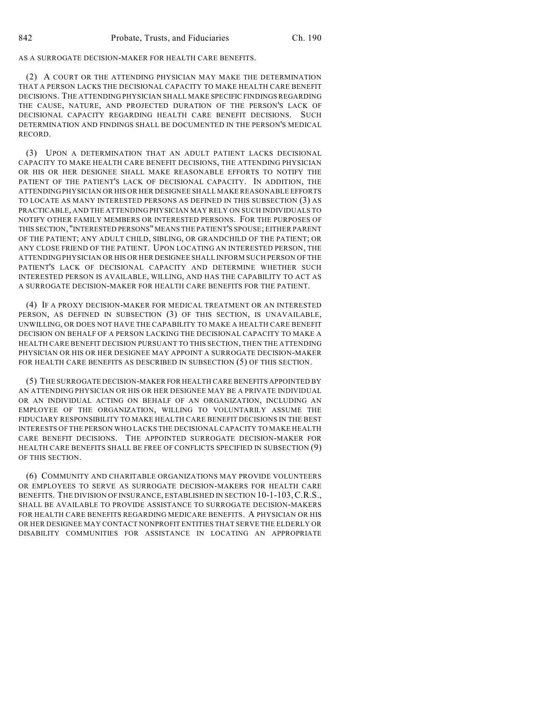AS A SURROGATE DECISION-MAKER FOR HEALTH CARE BENEFITS.

(2) A COURT OR THE ATTENDING PHYSICIAN MAY MAKE THE DETERMINATION THAT A PERSON LACKS THE DECISIONAL CAPACITY TO MAKE HEALTH CARE BENEFIT DECISIONS. THE ATTENDING PHYSICIAN SHALL MAKE SPECIFIC FINDINGS REGARDING THE CAUSE, NATURE, AND PROJECTED DURATION OF THE PERSON'S LACK OF DECISIONAL CAPACITY REGARDING HEALTH CARE BENEFIT DECISIONS. SUCH DETERMINATION AND FINDINGS SHALL BE DOCUMENTED IN THE PERSON'S MEDICAL RECORD.

(3) UPON A DETERMINATION THAT AN ADULT PATIENT LACKS DECISIONAL CAPACITY TO MAKE HEALTH CARE BENEFIT DECISIONS, THE ATTENDING PHYSICIAN OR HIS OR HER DESIGNEE SHALL MAKE REASONABLE EFFORTS TO NOTIFY THE PATIENT OF THE PATIENT'S LACK OF DECISIONAL CAPACITY. IN ADDITION, THE ATTENDING PHYSICIAN OR HIS OR HER DESIGNEE SHALL MAKE REASONABLE EFFORTS TO LOCATE AS MANY INTERESTED PERSONS AS DEFINED IN THIS SUBSECTION (3) AS PRACTICABLE, AND THE ATTENDING PHYSICIAN MAY RELY ON SUCH INDIVIDUALS TO NOTIFY OTHER FAMILY MEMBERS OR INTERESTED PERSONS. FOR THE PURPOSES OF THIS SECTION, "INTERESTED PERSONS" MEANS THE PATIENT'S SPOUSE; EITHER PARENT OF THE PATIENT; ANY ADULT CHILD, SIBLING, OR GRANDCHILD OF THE PATIENT; OR ANY CLOSE FRIEND OF THE PATIENT. UPON LOCATING AN INTERESTED PERSON, THE ATTENDING PHYSICIAN OR HIS OR HER DESIGNEE SHALL INFORM SUCH PERSON OF THE PATIENT'S LACK OF DECISIONAL CAPACITY AND DETERMINE WHETHER SUCH INTERESTED PERSON IS AVAILABLE, WILLING, AND HAS THE CAPABILITY TO ACT AS A SURROGATE DECISION-MAKER FOR HEALTH CARE BENEFITS FOR THE PATIENT.

(4) IF A PROXY DECISION-MAKER FOR MEDICAL TREATMENT OR AN INTERESTED PERSON, AS DEFINED IN SUBSECTION (3) OF THIS SECTION, IS UNAVAILABLE, UNWILLING, OR DOES NOT HAVE THE CAPABILITY TO MAKE A HEALTH CARE BENEFIT DECISION ON BEHALF OF A PERSON LACKING THE DECISIONAL CAPACITY TO MAKE A HEALTH CARE BENEFIT DECISION PURSUANT TO THIS SECTION, THEN THE ATTENDING PHYSICIAN OR HIS OR HER DESIGNEE MAY APPOINT A SURROGATE DECISION-MAKER FOR HEALTH CARE BENEFITS AS DESCRIBED IN SUBSECTION (5) OF THIS SECTION.

(5) THE SURROGATE DECISION-MAKER FOR HEALTH CARE BENEFITS APPOINTED BY AN ATTENDING PHYSICIAN OR HIS OR HER DESIGNEE MAY BE A PRIVATE INDIVIDUAL OR AN INDIVIDUAL ACTING ON BEHALF OF AN ORGANIZATION, INCLUDING AN EMPLOYEE OF THE ORGANIZATION, WILLING TO VOLUNTARILY ASSUME THE FIDUCIARY RESPONSIBILITY TO MAKE HEALTH CARE BENEFIT DECISIONS IN THE BEST INTERESTS OFTHE PERSON WHO LACKS THE DECISIONAL CAPACITY TO MAKE HEALTH CARE BENEFIT DECISIONS. THE APPOINTED SURROGATE DECISION-MAKER FOR HEALTH CARE BENEFITS SHALL BE FREE OF CONFLICTS SPECIFIED IN SUBSECTION (9) OF THIS SECTION.

(6) COMMUNITY AND CHARITABLE ORGANIZATIONS MAY PROVIDE VOLUNTEERS OR EMPLOYEES TO SERVE AS SURROGATE DECISION-MAKERS FOR HEALTH CARE BENEFITS. THE DIVISION OF INSURANCE, ESTABLISHED IN SECTION 10-1-103,C.R.S., SHALL BE AVAILABLE TO PROVIDE ASSISTANCE TO SURROGATE DECISION-MAKERS FOR HEALTH CARE BENEFITS REGARDING MEDICARE BENEFITS. A PHYSICIAN OR HIS OR HER DESIGNEE MAY CONTACT NONPROFIT ENTITIES THAT SERVE THE ELDERLY OR DISABILITY COMMUNITIES FOR ASSISTANCE IN LOCATING AN APPROPRIATE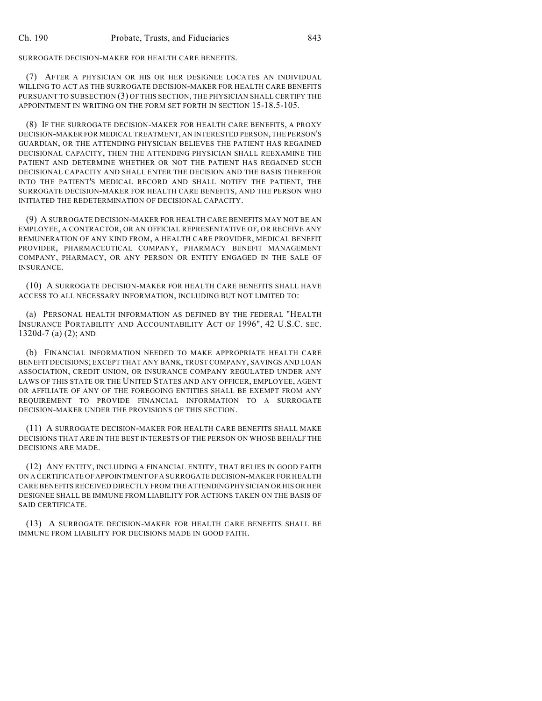## SURROGATE DECISION-MAKER FOR HEALTH CARE BENEFITS.

(7) AFTER A PHYSICIAN OR HIS OR HER DESIGNEE LOCATES AN INDIVIDUAL WILLING TO ACT AS THE SURROGATE DECISION-MAKER FOR HEALTH CARE BENEFITS PURSUANT TO SUBSECTION (3) OF THIS SECTION, THE PHYSICIAN SHALL CERTIFY THE APPOINTMENT IN WRITING ON THE FORM SET FORTH IN SECTION 15-18.5-105.

(8) IF THE SURROGATE DECISION-MAKER FOR HEALTH CARE BENEFITS, A PROXY DECISION-MAKER FOR MEDICAL TREATMENT, AN INTERESTED PERSON, THE PERSON'S GUARDIAN, OR THE ATTENDING PHYSICIAN BELIEVES THE PATIENT HAS REGAINED DECISIONAL CAPACITY, THEN THE ATTENDING PHYSICIAN SHALL REEXAMINE THE PATIENT AND DETERMINE WHETHER OR NOT THE PATIENT HAS REGAINED SUCH DECISIONAL CAPACITY AND SHALL ENTER THE DECISION AND THE BASIS THEREFOR INTO THE PATIENT'S MEDICAL RECORD AND SHALL NOTIFY THE PATIENT, THE SURROGATE DECISION-MAKER FOR HEALTH CARE BENEFITS, AND THE PERSON WHO INITIATED THE REDETERMINATION OF DECISIONAL CAPACITY.

(9) A SURROGATE DECISION-MAKER FOR HEALTH CARE BENEFITS MAY NOT BE AN EMPLOYEE, A CONTRACTOR, OR AN OFFICIAL REPRESENTATIVE OF, OR RECEIVE ANY REMUNERATION OF ANY KIND FROM, A HEALTH CARE PROVIDER, MEDICAL BENEFIT PROVIDER, PHARMACEUTICAL COMPANY, PHARMACY BENEFIT MANAGEMENT COMPANY, PHARMACY, OR ANY PERSON OR ENTITY ENGAGED IN THE SALE OF INSURANCE.

(10) A SURROGATE DECISION-MAKER FOR HEALTH CARE BENEFITS SHALL HAVE ACCESS TO ALL NECESSARY INFORMATION, INCLUDING BUT NOT LIMITED TO:

(a) PERSONAL HEALTH INFORMATION AS DEFINED BY THE FEDERAL "HEALTH INSURANCE PORTABILITY AND ACCOUNTABILITY ACT OF 1996", 42 U.S.C. SEC. 1320d-7 (a) (2); AND

(b) FINANCIAL INFORMATION NEEDED TO MAKE APPROPRIATE HEALTH CARE BENEFIT DECISIONS; EXCEPT THAT ANY BANK, TRUST COMPANY, SAVINGS AND LOAN ASSOCIATION, CREDIT UNION, OR INSURANCE COMPANY REGULATED UNDER ANY LAWS OF THIS STATE OR THE UNITED STATES AND ANY OFFICER, EMPLOYEE, AGENT OR AFFILIATE OF ANY OF THE FOREGOING ENTITIES SHALL BE EXEMPT FROM ANY REQUIREMENT TO PROVIDE FINANCIAL INFORMATION TO A SURROGATE DECISION-MAKER UNDER THE PROVISIONS OF THIS SECTION.

(11) A SURROGATE DECISION-MAKER FOR HEALTH CARE BENEFITS SHALL MAKE DECISIONS THAT ARE IN THE BEST INTERESTS OF THE PERSON ON WHOSE BEHALF THE DECISIONS ARE MADE.

(12) ANY ENTITY, INCLUDING A FINANCIAL ENTITY, THAT RELIES IN GOOD FAITH ON A CERTIFICATE OF APPOINTMENT OF A SURROGATE DECISION-MAKER FOR HEALTH CARE BENEFITS RECEIVED DIRECTLY FROM THE ATTENDING PHYSICIAN OR HIS OR HER DESIGNEE SHALL BE IMMUNE FROM LIABILITY FOR ACTIONS TAKEN ON THE BASIS OF SAID CERTIFICATE.

(13) A SURROGATE DECISION-MAKER FOR HEALTH CARE BENEFITS SHALL BE IMMUNE FROM LIABILITY FOR DECISIONS MADE IN GOOD FAITH.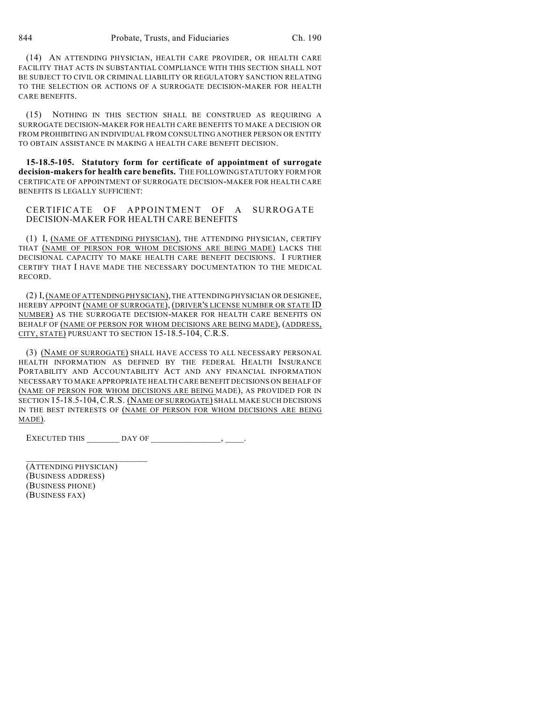(14) AN ATTENDING PHYSICIAN, HEALTH CARE PROVIDER, OR HEALTH CARE FACILITY THAT ACTS IN SUBSTANTIAL COMPLIANCE WITH THIS SECTION SHALL NOT BE SUBJECT TO CIVIL OR CRIMINAL LIABILITY OR REGULATORY SANCTION RELATING TO THE SELECTION OR ACTIONS OF A SURROGATE DECISION-MAKER FOR HEALTH CARE BENEFITS.

(15) NOTHING IN THIS SECTION SHALL BE CONSTRUED AS REQUIRING A SURROGATE DECISION-MAKER FOR HEALTH CARE BENEFITS TO MAKE A DECISION OR FROM PROHIBITING AN INDIVIDUAL FROM CONSULTING ANOTHER PERSON OR ENTITY TO OBTAIN ASSISTANCE IN MAKING A HEALTH CARE BENEFIT DECISION.

**15-18.5-105. Statutory form for certificate of appointment of surrogate decision-makers for health care benefits.** THE FOLLOWING STATUTORY FORM FOR CERTIFICATE OF APPOINTMENT OF SURROGATE DECISION-MAKER FOR HEALTH CARE BENEFITS IS LEGALLY SUFFICIENT:

CERTIFICATE OF APPOINTMENT OF A SURROGATE DECISION-MAKER FOR HEALTH CARE BENEFITS

(1) I, (NAME OF ATTENDING PHYSICIAN), THE ATTENDING PHYSICIAN, CERTIFY THAT (NAME OF PERSON FOR WHOM DECISIONS ARE BEING MADE) LACKS THE DECISIONAL CAPACITY TO MAKE HEALTH CARE BENEFIT DECISIONS. I FURTHER CERTIFY THAT I HAVE MADE THE NECESSARY DOCUMENTATION TO THE MEDICAL RECORD.

(2) I,(NAME OF ATTENDING PHYSICIAN), THE ATTENDING PHYSICIAN OR DESIGNEE, HEREBY APPOINT (NAME OF SURROGATE), (DRIVER'S LICENSE NUMBER OR STATE ID NUMBER) AS THE SURROGATE DECISION-MAKER FOR HEALTH CARE BENEFITS ON BEHALF OF (NAME OF PERSON FOR WHOM DECISIONS ARE BEING MADE), (ADDRESS, CITY, STATE) PURSUANT TO SECTION 15-18.5-104, C.R.S.

(3) (NAME OF SURROGATE) SHALL HAVE ACCESS TO ALL NECESSARY PERSONAL HEALTH INFORMATION AS DEFINED BY THE FEDERAL HEALTH INSURANCE PORTABILITY AND ACCOUNTABILITY ACT AND ANY FINANCIAL INFORMATION NECESSARY TO MAKE APPROPRIATE HEALTH CARE BENEFIT DECISIONS ON BEHALF OF (NAME OF PERSON FOR WHOM DECISIONS ARE BEING MADE), AS PROVIDED FOR IN SECTION 15-18.5-104,C.R.S. (NAME OF SURROGATE) SHALL MAKE SUCH DECISIONS IN THE BEST INTERESTS OF (NAME OF PERSON FOR WHOM DECISIONS ARE BEING MADE).

EXECUTED THIS  $\qquad \qquad \qquad$  DAY OF \_\_\_\_\_\_\_\_\_\_\_\_\_\_\_\_\_, \_\_\_\_\_.

(ATTENDING PHYSICIAN) (BUSINESS ADDRESS) (BUSINESS PHONE) (BUSINESS FAX)

 $\overline{\phantom{a}}$  , where  $\overline{\phantom{a}}$  , where  $\overline{\phantom{a}}$  , where  $\overline{\phantom{a}}$